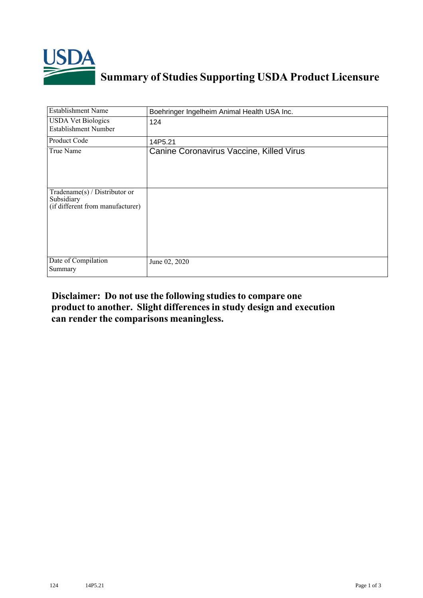

## **Summary of Studies Supporting USDA Product Licensure**

| <b>Establishment Name</b>                                                       | Boehringer Ingelheim Animal Health USA Inc. |
|---------------------------------------------------------------------------------|---------------------------------------------|
| <b>USDA Vet Biologics</b><br><b>Establishment Number</b>                        | 124                                         |
| Product Code                                                                    | 14P5.21                                     |
| True Name                                                                       | Canine Coronavirus Vaccine, Killed Virus    |
| Tradename(s) / Distributor or<br>Subsidiary<br>(if different from manufacturer) |                                             |
| Date of Compilation<br>Summary                                                  | June 02, 2020                               |

## **Disclaimer: Do not use the following studiesto compare one product to another. Slight differencesin study design and execution can render the comparisons meaningless.**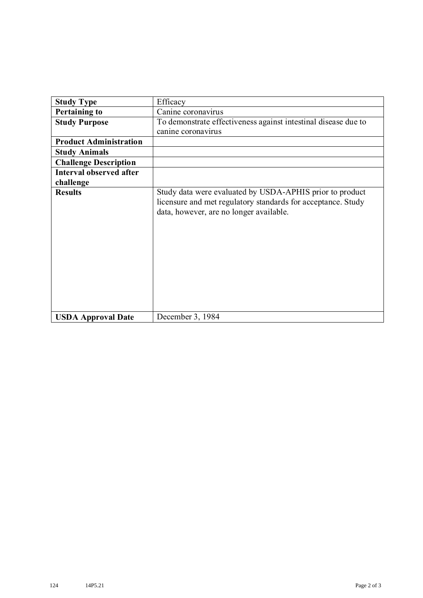| <b>Study Type</b>             | Efficacy                                                                                                                                                            |  |  |  |  |
|-------------------------------|---------------------------------------------------------------------------------------------------------------------------------------------------------------------|--|--|--|--|
| <b>Pertaining to</b>          | Canine coronavirus                                                                                                                                                  |  |  |  |  |
|                               |                                                                                                                                                                     |  |  |  |  |
| <b>Study Purpose</b>          | To demonstrate effectiveness against intestinal disease due to                                                                                                      |  |  |  |  |
|                               | canine coronavirus                                                                                                                                                  |  |  |  |  |
| <b>Product Administration</b> |                                                                                                                                                                     |  |  |  |  |
| <b>Study Animals</b>          |                                                                                                                                                                     |  |  |  |  |
| <b>Challenge Description</b>  |                                                                                                                                                                     |  |  |  |  |
| Interval observed after       |                                                                                                                                                                     |  |  |  |  |
| challenge                     |                                                                                                                                                                     |  |  |  |  |
| <b>Results</b>                | Study data were evaluated by USDA-APHIS prior to product<br>licensure and met regulatory standards for acceptance. Study<br>data, however, are no longer available. |  |  |  |  |
| <b>USDA Approval Date</b>     | December 3, 1984                                                                                                                                                    |  |  |  |  |